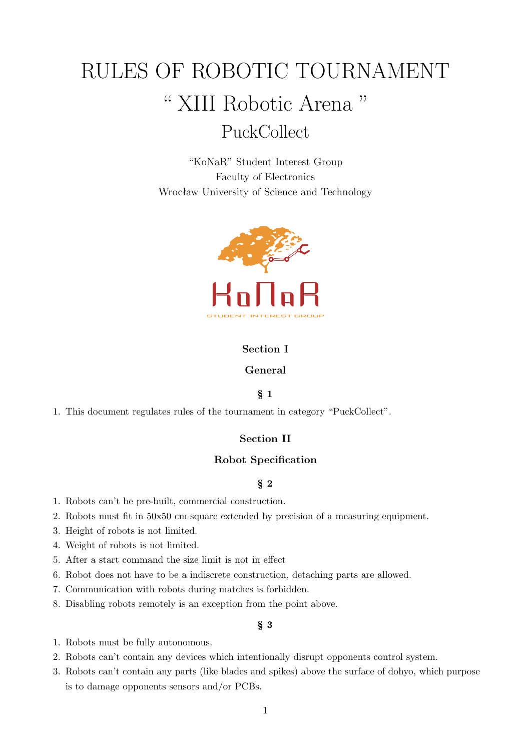# RULES OF ROBOTIC TOURNAMENT " XIII Robotic Arena " PuckCollect

"KoNaR" Student Interest Group Faculty of Electronics Wrocław University of Science and Technology



## **Section I**

## **General**

### § **1**

1. This document regulates rules of the tournament in category "PuckCollect".

### **Section II**

### **Robot Specification**

## § **2**

- 1. Robots can't be pre-built, commercial construction.
- 2. Robots must fit in 50x50 cm square extended by precision of a measuring equipment.
- 3. Height of robots is not limited.
- 4. Weight of robots is not limited.
- 5. After a start command the size limit is not in effect
- 6. Robot does not have to be a indiscrete construction, detaching parts are allowed.
- 7. Communication with robots during matches is forbidden.
- 8. Disabling robots remotely is an exception from the point above.

# § **3**

- 1. Robots must be fully autonomous.
- 2. Robots can't contain any devices which intentionally disrupt opponents control system.
- 3. Robots can't contain any parts (like blades and spikes) above the surface of dohyo, which purpose is to damage opponents sensors and/or PCBs.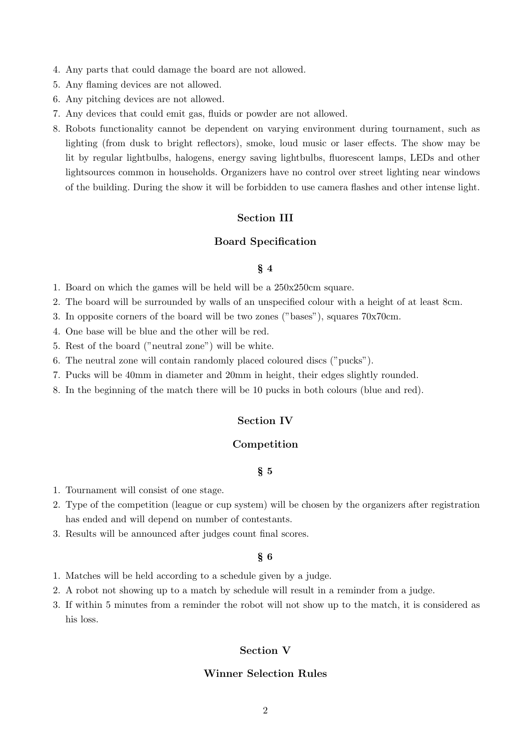- 4. Any parts that could damage the board are not allowed.
- 5. Any flaming devices are not allowed.
- 6. Any pitching devices are not allowed.
- 7. Any devices that could emit gas, fluids or powder are not allowed.
- 8. Robots functionality cannot be dependent on varying environment during tournament, such as lighting (from dusk to bright reflectors), smoke, loud music or laser effects. The show may be lit by regular lightbulbs, halogens, energy saving lightbulbs, fluorescent lamps, LEDs and other lightsources common in households. Organizers have no control over street lighting near windows of the building. During the show it will be forbidden to use camera flashes and other intense light.

#### **Section III**

#### **Board Specification**

#### § **4**

- 1. Board on which the games will be held will be a 250x250cm square.
- 2. The board will be surrounded by walls of an unspecified colour with a height of at least 8cm.
- 3. In opposite corners of the board will be two zones ("bases"), squares 70x70cm.
- 4. One base will be blue and the other will be red.
- 5. Rest of the board ("neutral zone") will be white.
- 6. The neutral zone will contain randomly placed coloured discs ("pucks").
- 7. Pucks will be 40mm in diameter and 20mm in height, their edges slightly rounded.
- 8. In the beginning of the match there will be 10 pucks in both colours (blue and red).

#### **Section IV**

## **Competition**

- § **5**
- 1. Tournament will consist of one stage.
- 2. Type of the competition (league or cup system) will be chosen by the organizers after registration has ended and will depend on number of contestants.
- 3. Results will be announced after judges count final scores.

#### § **6**

- 1. Matches will be held according to a schedule given by a judge.
- 2. A robot not showing up to a match by schedule will result in a reminder from a judge.
- 3. If within 5 minutes from a reminder the robot will not show up to the match, it is considered as his loss.

## **Section V**

#### **Winner Selection Rules**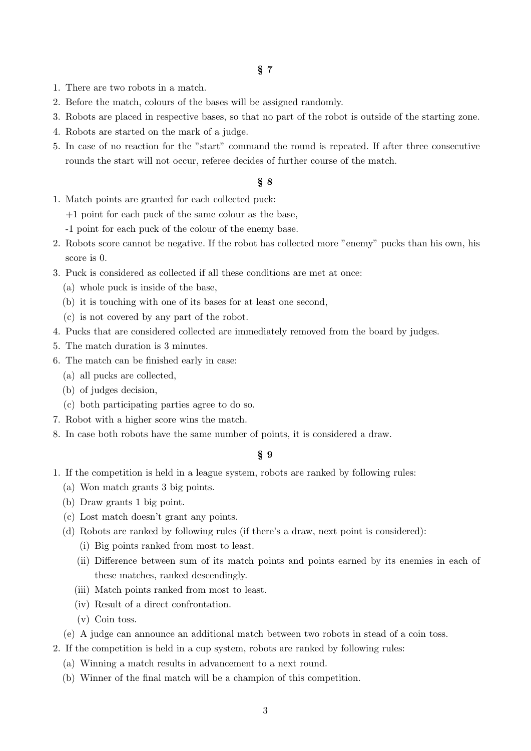- 1. There are two robots in a match.
- 2. Before the match, colours of the bases will be assigned randomly.
- 3. Robots are placed in respective bases, so that no part of the robot is outside of the starting zone.
- 4. Robots are started on the mark of a judge.
- 5. In case of no reaction for the "start" command the round is repeated. If after three consecutive rounds the start will not occur, referee decides of further course of the match.

#### § **8**

- 1. Match points are granted for each collected puck:
	- +1 point for each puck of the same colour as the base,
	- -1 point for each puck of the colour of the enemy base.
- 2. Robots score cannot be negative. If the robot has collected more "enemy" pucks than his own, his score is 0.
- 3. Puck is considered as collected if all these conditions are met at once:
	- (a) whole puck is inside of the base,
	- (b) it is touching with one of its bases for at least one second,
	- (c) is not covered by any part of the robot.
- 4. Pucks that are considered collected are immediately removed from the board by judges.
- 5. The match duration is 3 minutes.
- 6. The match can be finished early in case:
	- (a) all pucks are collected,
	- (b) of judges decision,
	- (c) both participating parties agree to do so.
- 7. Robot with a higher score wins the match.
- 8. In case both robots have the same number of points, it is considered a draw.

## § **9**

- 1. If the competition is held in a league system, robots are ranked by following rules:
	- (a) Won match grants 3 big points.
	- (b) Draw grants 1 big point.
	- (c) Lost match doesn't grant any points.
	- (d) Robots are ranked by following rules (if there's a draw, next point is considered):
		- (i) Big points ranked from most to least.
		- (ii) Difference between sum of its match points and points earned by its enemies in each of these matches, ranked descendingly.
		- (iii) Match points ranked from most to least.
		- (iv) Result of a direct confrontation.
		- (v) Coin toss.
	- (e) A judge can announce an additional match between two robots in stead of a coin toss.
- 2. If the competition is held in a cup system, robots are ranked by following rules:
	- (a) Winning a match results in advancement to a next round.
	- (b) Winner of the final match will be a champion of this competition.